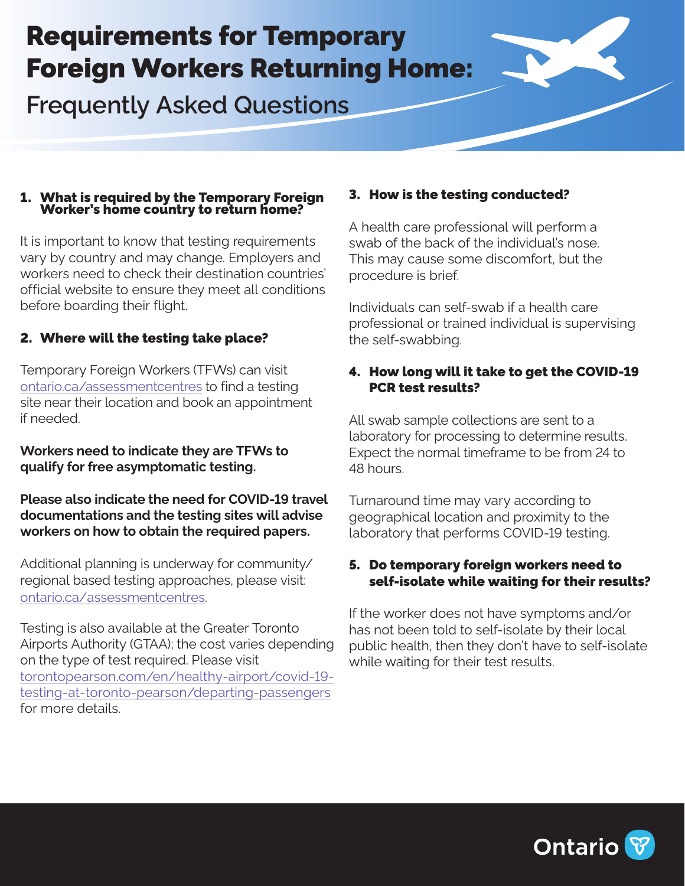# Requirements for Temporary Foreign Workers Returning Home:

**Frequently Asked Questions** 

#### 1. What is required by the Temporary Foreign Worker's home country to return home?

It is important to know that testing requirements vary by country and may change. Employers and workers need to check their destination countries' official website to ensure they meet all conditions before boarding their flight.

# 2. Where will the testing take place?

Temporary Foreign Workers (TFWs) can visit [ontario.ca/assessmentcentres](https://covid-19.ontario.ca/covid-19-test-and-testing-location-information) to find a testing site near their location and book an appointment if needed.

**Workers need to indicate they are TFWs to qualify for free asymptomatic testing.**

**Please also indicate the need for COVID-19 travel documentations and the testing sites will advise workers on how to obtain the required papers.**

Additional planning is underway for community/ regional based testing approaches, please visit: [ontario.ca/assessmentcentres](https://covid-19.ontario.ca/covid-19-test-and-testing-location-information).

Testing is also available at the Greater Toronto Airports Authority (GTAA); the cost varies depending on the type of test required. Please visit [torontopearson.com/en/healthy-airport/covid-19](https://www.torontopearson.com/en/healthy-airport/covid-19-testing-at-toronto-pearson/departing-passengers) [testing-at-toronto-pearson/departing-passengers](https://www.torontopearson.com/en/healthy-airport/covid-19-testing-at-toronto-pearson/departing-passengers) for more details.

# 3. How is the testing conducted?

A health care professional will perform a swab of the back of the individual's nose. This may cause some discomfort, but the procedure is brief.

Individuals can self-swab if a health care professional or trained individual is supervising the self-swabbing.

# 4. How long will it take to get the COVID-19 PCR test results?

All swab sample collections are sent to a laboratory for processing to determine results. Expect the normal timeframe to be from 24 to 48 hours.

Turnaround time may vary according to geographical location and proximity to the laboratory that performs COVID-19 testing.

#### 5. Do temporary foreign workers need to self-isolate while waiting for their results?

If the worker does not have symptoms and/or has not been told to self-isolate by their local public health, then they don't have to self-isolate while waiting for their test results.